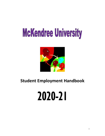# McKendree University



## **Student Employment Handbook**

# 2020-21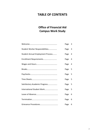### **TABLE OF CONTENTS**

### **Office of Financial Aid Campus Work Study**

|                                   | Page 3 |                         |
|-----------------------------------|--------|-------------------------|
| Student Worker Responsibilities   | Page   | $\overline{\mathbf{3}}$ |
| Student Annual Employment Process | Page   | $\overline{4}$          |
|                                   | Page   | $\overline{4}$          |
|                                   | Page   | $\overline{4}$          |
|                                   | Page 5 |                         |
|                                   | Page 5 |                         |
|                                   | Page 5 |                         |
| Satisfactory Academic Progress    | Page 5 |                         |
| International Student Work        | Page   | $5\overline{5}$         |
|                                   | Page   | 6                       |
|                                   | Page   | 6                       |
|                                   | Page   | 6                       |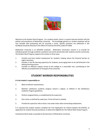

Welcome to the Student Work Program. As a student worker, there is a need to become familiar with the policies and procedures of McKendree University. The knowledge gained as a student employee will be very valuable after graduating and for pursuing a career. Specific questions not addressed in this handbook should be directed to the Office of Financial Aid (OFA), (618) 537-6828.

McKendree University is an EEO/ADA employer. McKendree University's mission is to provide for individual growth through academic excellence and active partnership with students and the community. The Student Work Program supports this mission in three ways:

- 1. Provides part-time limited employment for students, helping reduce the financial barriers to higher education.
- 2. Provides a real life learning experience for students, encouraging them to be self-directed in the lifelong learning process.
- 3. Provides an effective support service to the college at a reasonable cost, contributing to the effective accomplishment of the goals of the university.

#### **STUDENT WORKER RESPONSIBILITIES**

#### *It is the student's responsibility to:*

- 1. Meet enrollment requirements;
- 2. Maintain satisfactory academic progress toward a degree, as defined in the Satisfactory Academic Progress guidelines;
- 3. Perform assigned duties, as established by the supervisor;
- 4. Give notice, as defined by supervisor, if time off work is needed;
- 5. Provide the supervisor with at least a one week notice when terminating employment.

It is required that student workers complete the Free Application for Federal Student Aid (FAFSA), an application for student financial assistance, to determine eligibility for the Federal Work Study Program.

Institutional Work Study is awarded at the discretion of McKendree University.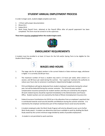#### **STUDENT ANNUAL EMPLOYMENT PROCESS**

In order to begin work, students **must** complete each item.

- 1. I-9 form with proper documentation
- 2. Illinois W-4
- 3. Federal W-4
- 4. Work Study Payroll Form- obtained at the Payroll Office after all payroll paperwork has been completed. This form must be turned in to the supervisor.

**These items must be completed before the student begins work.**



#### **ENROLLMENT REQUIREMENTS**

A student must be enrolled in at least 12 hours for the Fall and/or Spring Term to be eligible for the Student Work Program.



- 1. The wage rate for all student workers is the current Federal or State minimum wage, whichever is higher. It is currently \$10.00 per hour.
- 2. The maximum number of hours a student may work is 15 hours per week, when school is in session, and 40 hours per week during the summer. Your supervisor maintains the authority to reduce your hours due to variances in workload or departmental budget constraints.
- 3. FICA and Medicare will not be deducted from student employee's paychecks during the school year, but will be deducted during the summer semester. The University pays workers' compensation insurance premiums for student workers and they are covered by this program. All work-related injuries should be reported immediately to the Administration and Finance Office. Student workers are not covered by the State of Illinois Unemployment Insurance Act.
- 4. Federal Insurance Contributions Act (FICA) tax is the allocation from an employee's paycheck that is contributed towards social security benefits and Medicare during the summer semester. It is matched by the employer and becomes part of the employee future social security benefits.
- 5. A student employed under the Work Study Program will only be allowed to earn up to his/her Work Study award**.** A student can determine total hours available to work by dividing the Work Study award by the current minimum wage divided by weeks of possible employment.
- 6. A student is not permitted to work overtime.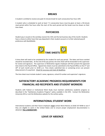#### **BREAKS**

A student is entitled to receive one paid 15-minute break for each consecutive four-hour shift.

A student who is scheduled to work at least 7 ½ consecutive hours must be given at least a 30-minute meal period within five hours after the start of the work period and the break must be shown on their time sheet.

#### **PAYCHECKS**

Student pay is issued on the workday nearest the 15th and the last business day of the month. Students have a choice to either have their pay deposited in their student account or to their selected payroll preference with BankMobile.



A time sheet will need to be completed by the student for each pay period. The dates and hours worked should be recorded daily. At the end of the pay period, the time sheet will be forwarded to the supervisor for review and signature. The supervisor or McKendree regular employee will then present the approved time sheet to the Payroll Office. Signed time sheets must be submitted to the Payroll Office on the 5<sup>th</sup> and  $20<sup>th</sup>$  of each month prior to 10:00 a.m. Time sheets submitted late or containing errors can prevent disbursement of a paycheck. Check for accuracy and meet all deadlines.

The time sheet must include student's name, signature, school ID number and supervisor's signature.

#### **SATISFACTORY ACADEMIC PROGRESS REQUIREMENTS FOR FINANCIAL AID RECIPIENTS AND STUDENT WORKERS**

Students with Federal or Institutional Work Study must maintain satisfactory academic progress as described in the "Satisfactory Academic Progress" policy available in the OFA. Contact the McKendree University OFA or visit the McKendree website for the written policy.

#### **INTERNATIONAL STUDENT WORK**

International students and their future employers **must** contact Brent Reeves at (618) 537-6938 to see if they are eligible to work in the United States and to ensure proper employment documentation is obtained. **This is MANDATORY.**

#### **LEAVE OF ABSENCE**